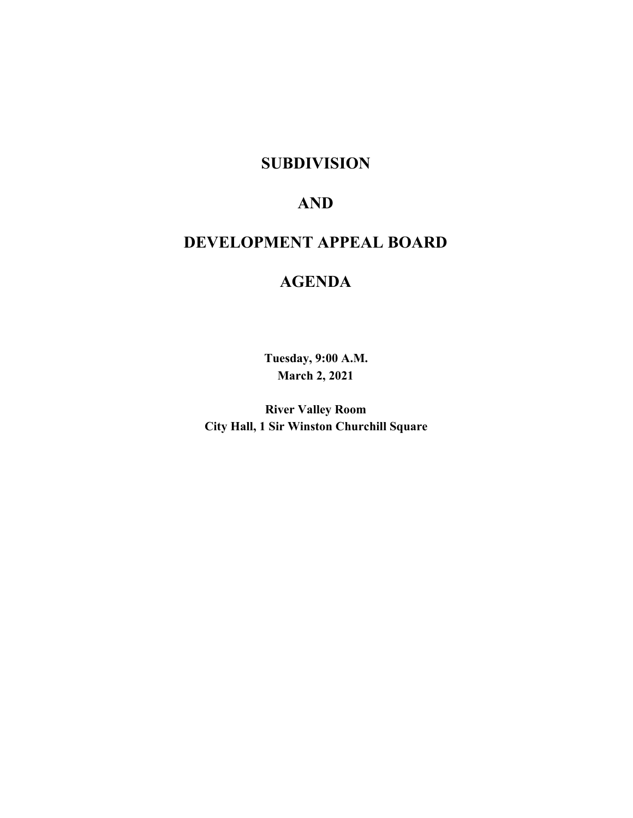## **SUBDIVISION**

# **AND**

# **DEVELOPMENT APPEAL BOARD**

# **AGENDA**

**Tuesday, 9:00 A.M. March 2, 2021**

**River Valley Room City Hall, 1 Sir Winston Churchill Square**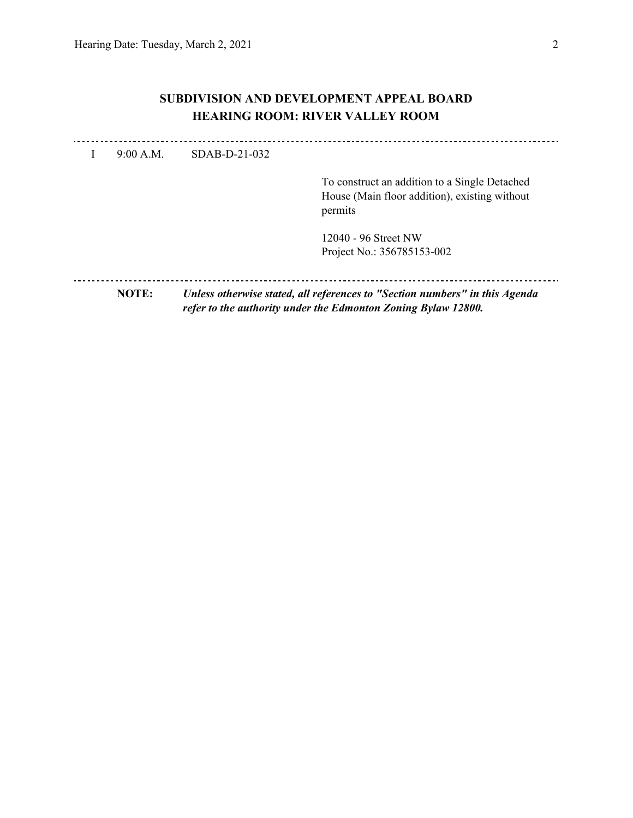## **SUBDIVISION AND DEVELOPMENT APPEAL BOARD HEARING ROOM: RIVER VALLEY ROOM**

| NOTE:     |                 | Unless otherwise stated, all references to "Section numbers" in this Agenda<br>refer to the authority under the Edmonton Zoning Bylaw 12800. |
|-----------|-----------------|----------------------------------------------------------------------------------------------------------------------------------------------|
|           |                 | Project No.: 356785153-002                                                                                                                   |
|           |                 | 12040 - 96 Street NW                                                                                                                         |
|           |                 | To construct an addition to a Single Detached<br>House (Main floor addition), existing without<br>permits                                    |
| 9:00 A.M. | $SDAB-D-21-032$ |                                                                                                                                              |
|           |                 |                                                                                                                                              |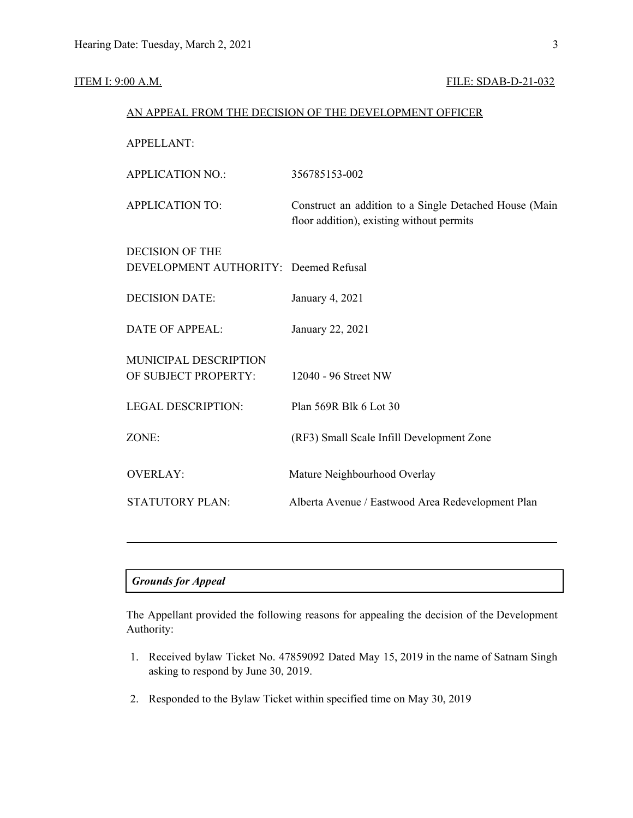#### **ITEM I: 9:00 A.M. FILE: SDAB-D-21-032**

| AN APPEAL FROM THE DECISION OF THE DEVELOPMENT OFFICER          |                                                                                                     |  |  |  |  |  |
|-----------------------------------------------------------------|-----------------------------------------------------------------------------------------------------|--|--|--|--|--|
| <b>APPELLANT:</b>                                               |                                                                                                     |  |  |  |  |  |
| <b>APPLICATION NO.:</b>                                         | 356785153-002                                                                                       |  |  |  |  |  |
| <b>APPLICATION TO:</b>                                          | Construct an addition to a Single Detached House (Main<br>floor addition), existing without permits |  |  |  |  |  |
| <b>DECISION OF THE</b><br>DEVELOPMENT AUTHORITY: Deemed Refusal |                                                                                                     |  |  |  |  |  |
| <b>DECISION DATE:</b>                                           | January 4, 2021                                                                                     |  |  |  |  |  |
| <b>DATE OF APPEAL:</b>                                          | January 22, 2021                                                                                    |  |  |  |  |  |
| MUNICIPAL DESCRIPTION<br>OF SUBJECT PROPERTY:                   | 12040 - 96 Street NW                                                                                |  |  |  |  |  |
| <b>LEGAL DESCRIPTION:</b>                                       | Plan 569R Blk 6 Lot 30                                                                              |  |  |  |  |  |
| ZONE:                                                           | (RF3) Small Scale Infill Development Zone                                                           |  |  |  |  |  |
| <b>OVERLAY:</b>                                                 | Mature Neighbourhood Overlay                                                                        |  |  |  |  |  |
| <b>STATUTORY PLAN:</b>                                          | Alberta Avenue / Eastwood Area Redevelopment Plan                                                   |  |  |  |  |  |
|                                                                 |                                                                                                     |  |  |  |  |  |

## *Grounds for Appeal*

The Appellant provided the following reasons for appealing the decision of the Development Authority:

- 1. Received bylaw Ticket No. 47859092 Dated May 15, 2019 in the name of Satnam Singh asking to respond by June 30, 2019.
- 2. Responded to the Bylaw Ticket within specified time on May 30, 2019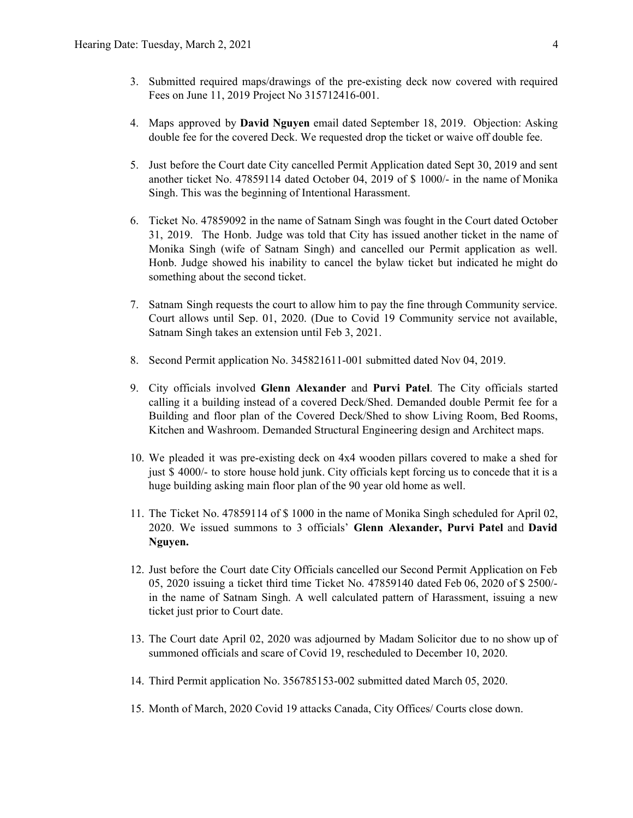- 3. Submitted required maps/drawings of the pre-existing deck now covered with required Fees on June 11, 2019 Project No 315712416-001.
- 4. Maps approved by **David Nguyen** email dated September 18, 2019. Objection: Asking double fee for the covered Deck. We requested drop the ticket or waive off double fee.
- 5. Just before the Court date City cancelled Permit Application dated Sept 30, 2019 and sent another ticket No. 47859114 dated October 04, 2019 of \$ 1000/- in the name of Monika Singh. This was the beginning of Intentional Harassment.
- 6. Ticket No. 47859092 in the name of Satnam Singh was fought in the Court dated October 31, 2019. The Honb. Judge was told that City has issued another ticket in the name of Monika Singh (wife of Satnam Singh) and cancelled our Permit application as well. Honb. Judge showed his inability to cancel the bylaw ticket but indicated he might do something about the second ticket.
- 7. Satnam Singh requests the court to allow him to pay the fine through Community service. Court allows until Sep. 01, 2020. (Due to Covid 19 Community service not available, Satnam Singh takes an extension until Feb 3, 2021.
- 8. Second Permit application No. 345821611-001 submitted dated Nov 04, 2019.
- 9. City officials involved **Glenn Alexander** and **Purvi Patel**. The City officials started calling it a building instead of a covered Deck/Shed. Demanded double Permit fee for a Building and floor plan of the Covered Deck/Shed to show Living Room, Bed Rooms, Kitchen and Washroom. Demanded Structural Engineering design and Architect maps.
- 10. We pleaded it was pre-existing deck on 4x4 wooden pillars covered to make a shed for just \$ 4000/- to store house hold junk. City officials kept forcing us to concede that it is a huge building asking main floor plan of the 90 year old home as well.
- 11. The Ticket No. 47859114 of \$ 1000 in the name of Monika Singh scheduled for April 02, 2020. We issued summons to 3 officials' **Glenn Alexander, Purvi Patel** and **David Nguyen.**
- 12. Just before the Court date City Officials cancelled our Second Permit Application on Feb 05, 2020 issuing a ticket third time Ticket No. 47859140 dated Feb 06, 2020 of \$ 2500/ in the name of Satnam Singh. A well calculated pattern of Harassment, issuing a new ticket just prior to Court date.
- 13. The Court date April 02, 2020 was adjourned by Madam Solicitor due to no show up of summoned officials and scare of Covid 19, rescheduled to December 10, 2020.
- 14. Third Permit application No. 356785153-002 submitted dated March 05, 2020.
- 15. Month of March, 2020 Covid 19 attacks Canada, City Offices/ Courts close down.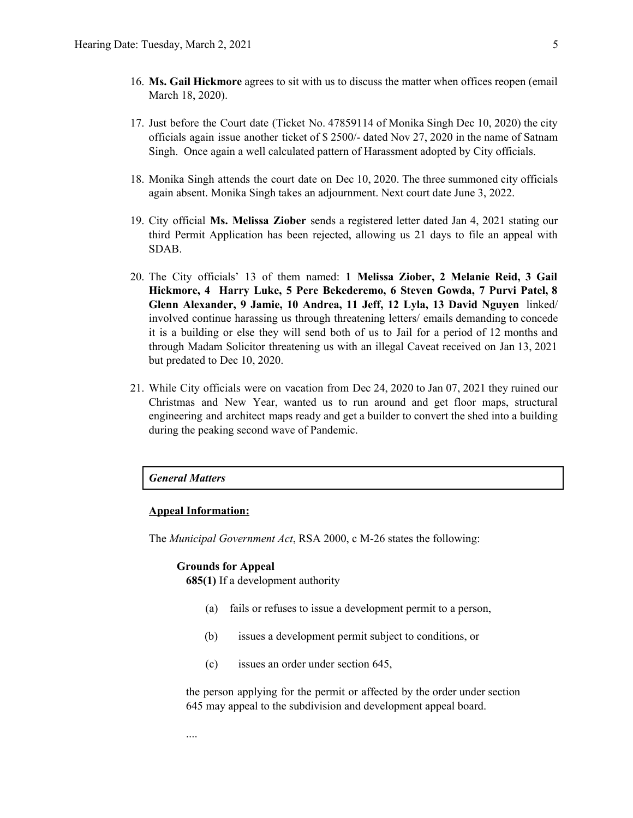- 16. **Ms. Gail Hickmore** agrees to sit with us to discuss the matter when offices reopen (email March 18, 2020).
- 17. Just before the Court date (Ticket No. 47859114 of Monika Singh Dec 10, 2020) the city officials again issue another ticket of \$ 2500/- dated Nov 27, 2020 in the name of Satnam Singh. Once again a well calculated pattern of Harassment adopted by City officials.
- 18. Monika Singh attends the court date on Dec 10, 2020. The three summoned city officials again absent. Monika Singh takes an adjournment. Next court date June 3, 2022.
- 19. City official **Ms. Melissa Ziober** sends a registered letter dated Jan 4, 2021 stating our third Permit Application has been rejected, allowing us 21 days to file an appeal with SDAB.
- 20. The City officials' 13 of them named: **1 Melissa Ziober, 2 Melanie Reid, 3 Gail Hickmore, 4 Harry Luke, 5 Pere Bekederemo, 6 Steven Gowda, 7 Purvi Patel, 8 Glenn Alexander, 9 Jamie, 10 Andrea, 11 Jeff, 12 Lyla, 13 David Nguyen** linked/ involved continue harassing us through threatening letters/ emails demanding to concede it is a building or else they will send both of us to Jail for a period of 12 months and through Madam Solicitor threatening us with an illegal Caveat received on Jan 13, 2021 but predated to Dec 10, 2020.
- 21. While City officials were on vacation from Dec 24, 2020 to Jan 07, 2021 they ruined our Christmas and New Year, wanted us to run around and get floor maps, structural engineering and architect maps ready and get a builder to convert the shed into a building during the peaking second wave of Pandemic.

#### *General Matters*

### **Appeal Information:**

The *Municipal Government Act*, RSA 2000, c M-26 states the following:

#### **Grounds for Appeal**

**685(1)** If a development authority

- (a) fails or refuses to issue a development permit to a person,
- (b) issues a development permit subject to conditions, or
- (c) issues an order under section 645,

the person applying for the permit or affected by the order under section 645 may appeal to the subdivision and development appeal board.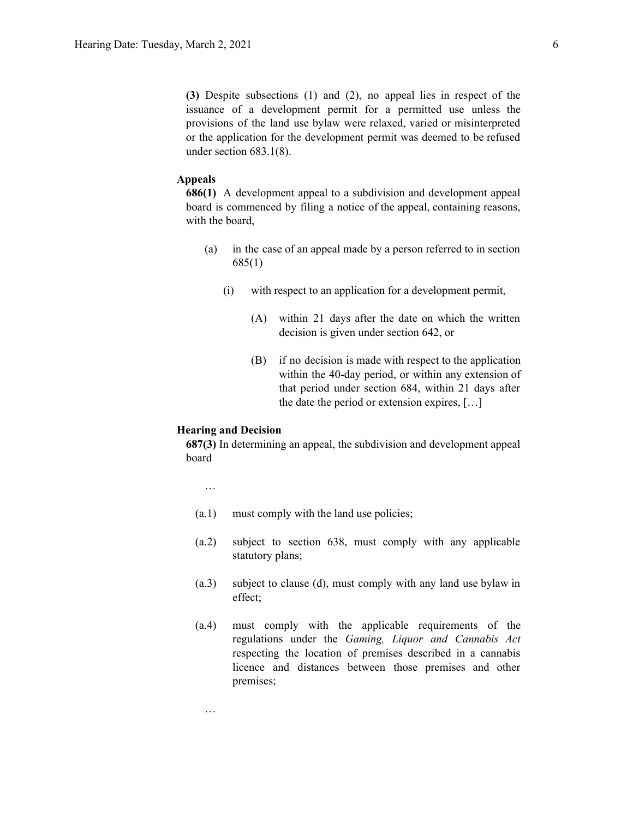**(3)** Despite subsections (1) and (2), no appeal lies in respect of the issuance of a development permit for a permitted use unless the provisions of the land use bylaw were relaxed, varied or misinterpreted or the application for the development permit was deemed to be refused under section 683.1(8).

#### **Appeals**

**686(1)** A development appeal to a subdivision and development appeal board is commenced by filing a notice of the appeal, containing reasons, with the board,

- (a) in the case of an appeal made by a person referred to in section 685(1)
	- (i) with respect to an application for a development permit,
		- (A) within 21 days after the date on which the written decision is given under section 642, or
		- (B) if no decision is made with respect to the application within the 40-day period, or within any extension of that period under section 684, within 21 days after the date the period or extension expires, […]

#### **Hearing and Decision**

**687(3)** In determining an appeal, the subdivision and development appeal board

…

- (a.1) must comply with the land use policies;
- (a.2) subject to section 638, must comply with any applicable statutory plans;
- (a.3) subject to clause (d), must comply with any land use bylaw in effect;
- (a.4) must comply with the applicable requirements of the regulations under the *Gaming, Liquor and Cannabis Act* respecting the location of premises described in a cannabis licence and distances between those premises and other premises;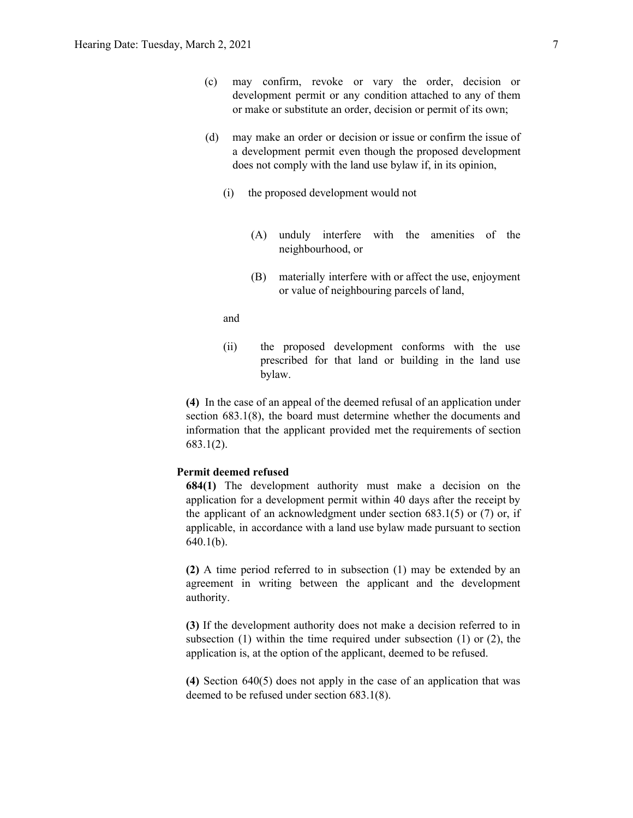- (c) may confirm, revoke or vary the order, decision or development permit or any condition attached to any of them or make or substitute an order, decision or permit of its own;
- (d) may make an order or decision or issue or confirm the issue of a development permit even though the proposed development does not comply with the land use bylaw if, in its opinion,
	- (i) the proposed development would not
		- (A) unduly interfere with the amenities of the neighbourhood, or
		- (B) materially interfere with or affect the use, enjoyment or value of neighbouring parcels of land,

and

(ii) the proposed development conforms with the use prescribed for that land or building in the land use bylaw.

**(4)** In the case of an appeal of the deemed refusal of an application under section 683.1(8), the board must determine whether the documents and information that the applicant provided met the requirements of section 683.1(2).

#### **Permit deemed refused**

**684(1)** The development authority must make a decision on the application for a development permit within 40 days after the receipt by the applicant of an acknowledgment under section  $683.1(5)$  or  $(7)$  or, if applicable, in accordance with a land use bylaw made pursuant to section  $640.1(b)$ .

**(2)** A time period referred to in subsection (1) may be extended by an agreement in writing between the applicant and the development authority.

**(3)** If the development authority does not make a decision referred to in subsection (1) within the time required under subsection (1) or (2), the application is, at the option of the applicant, deemed to be refused.

**(4)** Section 640(5) does not apply in the case of an application that was deemed to be refused under section 683.1(8).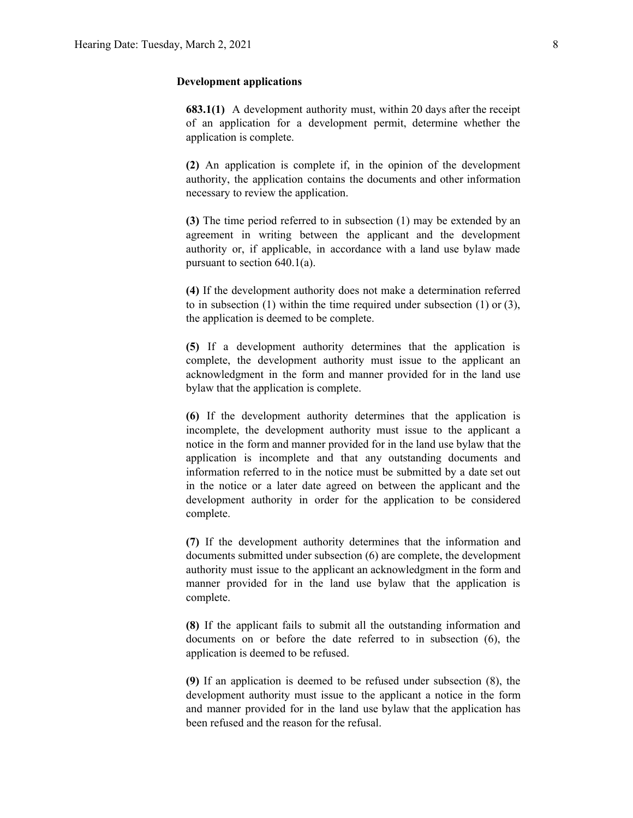#### **Development applications**

**683.1(1)** A development authority must, within 20 days after the receipt of an application for a development permit, determine whether the application is complete.

**(2)** An application is complete if, in the opinion of the development authority, the application contains the documents and other information necessary to review the application.

**(3)** The time period referred to in subsection (1) may be extended by an agreement in writing between the applicant and the development authority or, if applicable, in accordance with a land use bylaw made pursuant to section 640.1(a).

**(4)** If the development authority does not make a determination referred to in subsection (1) within the time required under subsection (1) or (3), the application is deemed to be complete.

**(5)** If a development authority determines that the application is complete, the development authority must issue to the applicant an acknowledgment in the form and manner provided for in the land use bylaw that the application is complete.

**(6)** If the development authority determines that the application is incomplete, the development authority must issue to the applicant a notice in the form and manner provided for in the land use bylaw that the application is incomplete and that any outstanding documents and information referred to in the notice must be submitted by a date set out in the notice or a later date agreed on between the applicant and the development authority in order for the application to be considered complete.

**(7)** If the development authority determines that the information and documents submitted under subsection (6) are complete, the development authority must issue to the applicant an acknowledgment in the form and manner provided for in the land use bylaw that the application is complete.

**(8)** If the applicant fails to submit all the outstanding information and documents on or before the date referred to in subsection (6), the application is deemed to be refused.

**(9)** If an application is deemed to be refused under subsection (8), the development authority must issue to the applicant a notice in the form and manner provided for in the land use bylaw that the application has been refused and the reason for the refusal.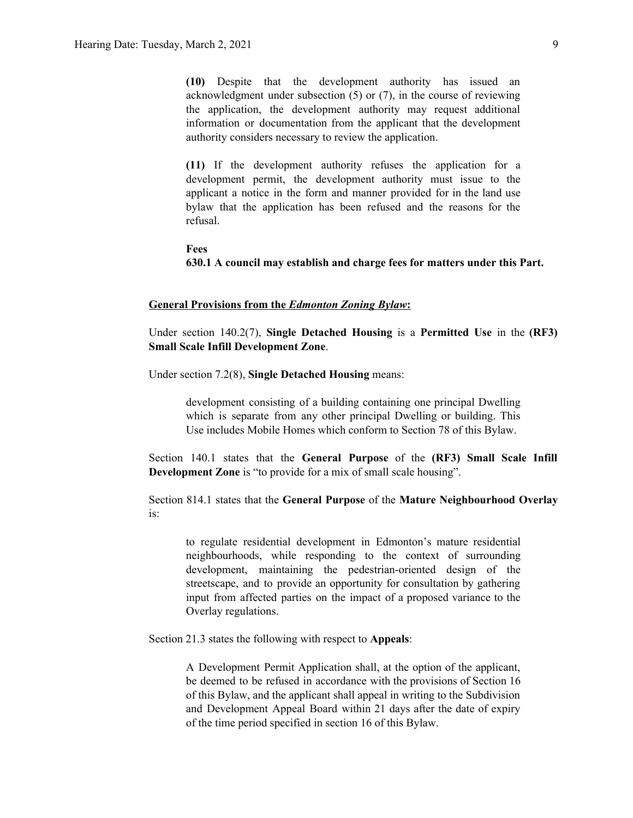**(10)** Despite that the development authority has issued an acknowledgment under subsection (5) or (7), in the course of reviewing the application, the development authority may request additional information or documentation from the applicant that the development authority considers necessary to review the application.

**(11)** If the development authority refuses the application for a development permit, the development authority must issue to the applicant a notice in the form and manner provided for in the land use bylaw that the application has been refused and the reasons for the refusal.

#### **Fees**

**630.1 A council may establish and charge fees for matters under this Part.**

#### **General Provisions from the** *Edmonton Zoning Bylaw***:**

Under section 140.2(7), **Single Detached Housing** is a **Permitted Use** in the **(RF3) Small Scale Infill Development Zone**.

Under section 7.2(8), **Single Detached Housing** means:

development consisting of a building containing one principal Dwelling which is separate from any other principal Dwelling or building. This Use includes Mobile Homes which conform to Section 78 of this Bylaw.

Section 140.1 states that the **General Purpose** of the **(RF3) Small Scale Infill Development Zone** is "to provide for a mix of small scale housing".

Section 814.1 states that the **General Purpose** of the **Mature Neighbourhood Overlay** is:

to regulate residential development in Edmonton's mature residential neighbourhoods, while responding to the context of surrounding development, maintaining the pedestrian-oriented design of the streetscape, and to provide an opportunity for consultation by gathering input from affected parties on the impact of a proposed variance to the Overlay regulations.

Section 21.3 states the following with respect to **Appeals**:

A Development Permit Application shall, at the option of the applicant, be deemed to be refused in accordance with the provisions of Section 16 of this Bylaw, and the applicant shall appeal in writing to the Subdivision and Development Appeal Board within 21 days after the date of expiry of the time period specified in section 16 of this Bylaw.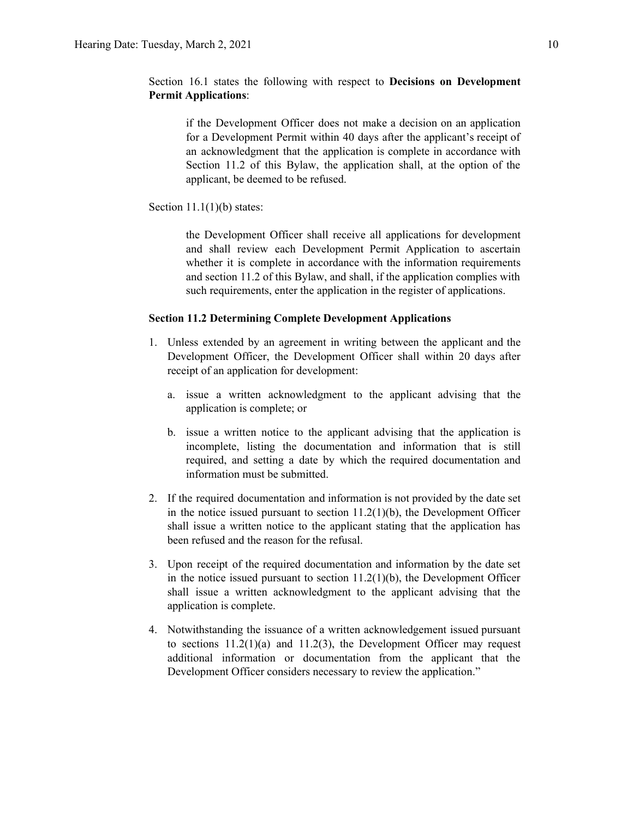Section 16.1 states the following with respect to **Decisions on Development Permit Applications**:

if the Development Officer does not make a decision on an application for a Development Permit within 40 days after the applicant's receipt of an acknowledgment that the application is complete in accordance with Section 11.2 of this Bylaw, the application shall, at the option of the applicant, be deemed to be refused.

Section  $11.1(1)(b)$  states:

the Development Officer shall receive all applications for development and shall review each Development Permit Application to ascertain whether it is complete in accordance with the information requirements and section 11.2 of this Bylaw, and shall, if the application complies with such requirements, enter the application in the register of applications.

#### **Section 11.2 Determining Complete Development Applications**

- 1. Unless extended by an agreement in writing between the applicant and the Development Officer, the Development Officer shall within 20 days after receipt of an application for development:
	- a. issue a written acknowledgment to the applicant advising that the application is complete; or
	- b. issue a written notice to the applicant advising that the application is incomplete, listing the documentation and information that is still required, and setting a date by which the required documentation and information must be submitted.
- 2. If the required documentation and information is not provided by the date set in the notice issued pursuant to section  $11.2(1)(b)$ , the Development Officer shall issue a written notice to the applicant stating that the application has been refused and the reason for the refusal.
- 3. Upon receipt of the required documentation and information by the date set in the notice issued pursuant to section  $11.2(1)(b)$ , the Development Officer shall issue a written acknowledgment to the applicant advising that the application is complete.
- 4. Notwithstanding the issuance of a written acknowledgement issued pursuant to sections  $11.2(1)(a)$  and  $11.2(3)$ , the Development Officer may request additional information or documentation from the applicant that the Development Officer considers necessary to review the application."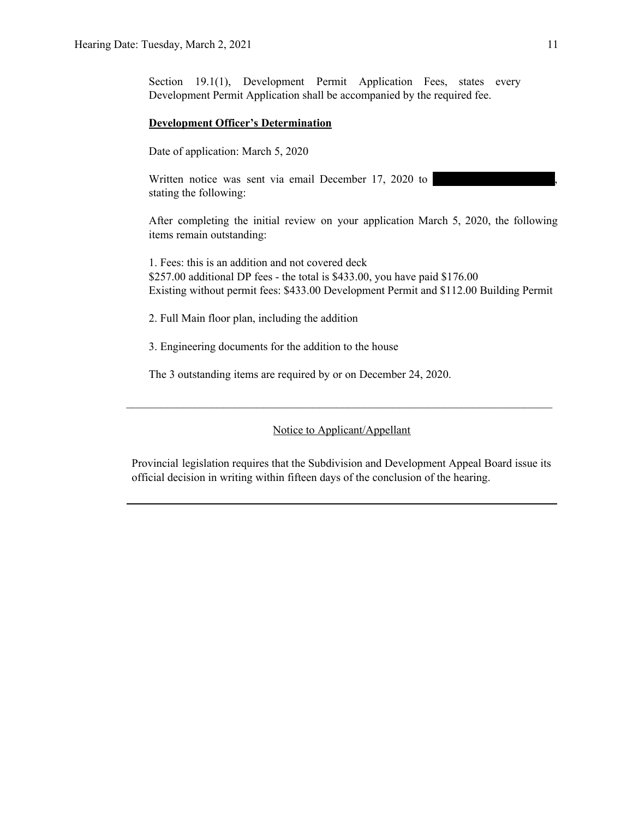Section 19.1(1), Development Permit Application Fees, states every Development Permit Application shall be accompanied by the required fee.

#### **Development Officer's Determination**

Date of application: March 5, 2020

Written notice was sent via email December 17, 2020 to stating the following:

After completing the initial review on your application March 5, 2020, the following items remain outstanding:

1. Fees: this is an addition and not covered deck \$257.00 additional DP fees - the total is \$433.00, you have paid \$176.00 Existing without permit fees: \$433.00 Development Permit and \$112.00 Building Permit

2. Full Main floor plan, including the addition

3. Engineering documents for the addition to the house

The 3 outstanding items are required by or on December 24, 2020.

Notice to Applicant/Appellant

 $\mathcal{L}_\text{max} = \frac{1}{2} \sum_{i=1}^n \mathcal{L}_\text{max} = \frac{1}{2} \sum_{i=1}^n \mathcal{L}_\text{max} = \frac{1}{2} \sum_{i=1}^n \mathcal{L}_\text{max} = \frac{1}{2} \sum_{i=1}^n \mathcal{L}_\text{max} = \frac{1}{2} \sum_{i=1}^n \mathcal{L}_\text{max} = \frac{1}{2} \sum_{i=1}^n \mathcal{L}_\text{max} = \frac{1}{2} \sum_{i=1}^n \mathcal{L}_\text{max} = \frac{1}{2} \sum_{i=$ 

Provincial legislation requires that the Subdivision and Development Appeal Board issue its official decision in writing within fifteen days of the conclusion of the hearing.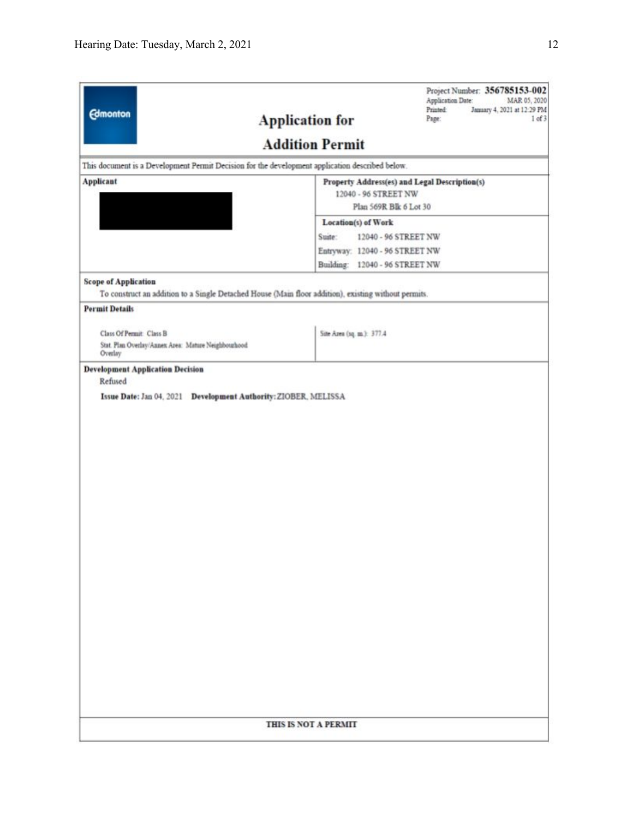| <b>Edmonton</b>                                                                                                                     | Project Number: 356785153-002<br>Application Date:<br>MAR 05, 2020<br>Printed<br>January 4, 2021 at 12:29 PM<br><b>Application for</b><br>Page:<br>1 of 3 |  |  |  |  |  |  |  |  |
|-------------------------------------------------------------------------------------------------------------------------------------|-----------------------------------------------------------------------------------------------------------------------------------------------------------|--|--|--|--|--|--|--|--|
| <b>Addition Permit</b>                                                                                                              |                                                                                                                                                           |  |  |  |  |  |  |  |  |
| This document is a Development Permit Decision for the development application described below.                                     |                                                                                                                                                           |  |  |  |  |  |  |  |  |
| <b>Applicant</b>                                                                                                                    | Property Address(es) and Legal Description(s)<br>12040 - 96 STREET NW<br>Plan 569R Blk 6 Lot 30                                                           |  |  |  |  |  |  |  |  |
|                                                                                                                                     | Location(s) of Work<br>12040 - 96 STREET NW<br>Suite:<br>Entryway: 12040 - 96 STREET NW<br>Building: 12040 - 96 STREET NW                                 |  |  |  |  |  |  |  |  |
| <b>Scope of Application</b><br>To construct an addition to a Single Detached House (Main floor addition), existing without permits. |                                                                                                                                                           |  |  |  |  |  |  |  |  |
| <b>Permit Details</b><br>Class Of Permit: Class B<br>Stat. Plan Overlay/Annex Area: Mature Neighbourhood<br>Overlay                 | Site Azea (sq. m.): 377.4                                                                                                                                 |  |  |  |  |  |  |  |  |
| Issue Date: Jan 04, 2021 Development Authority: ZIOBER, MELISSA                                                                     |                                                                                                                                                           |  |  |  |  |  |  |  |  |
|                                                                                                                                     | THIS IS NOT A PERMIT                                                                                                                                      |  |  |  |  |  |  |  |  |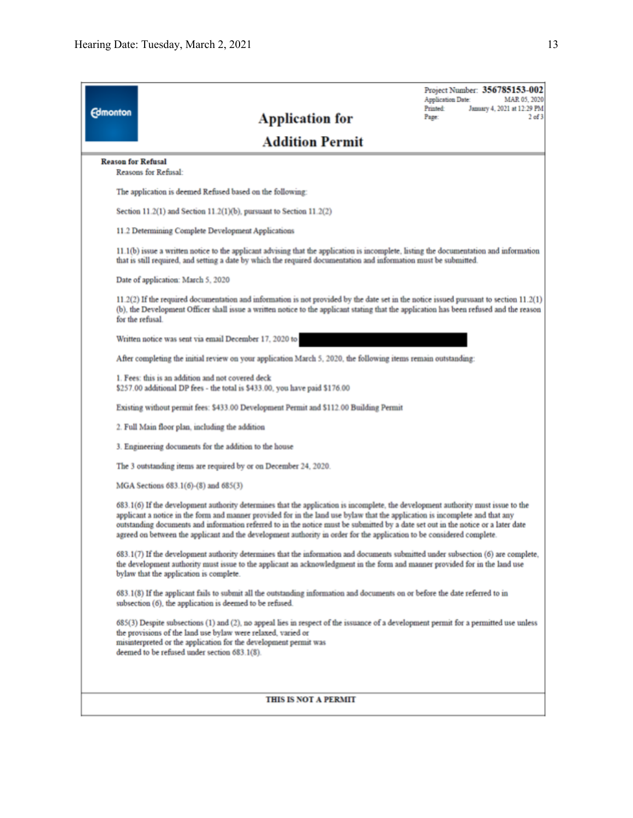| <b>Edmonton</b> | <b>Application for</b>                                                                                                                                                                                                                                                                                                                                                                                                                                                                                                         | Project Number: 356785153-002<br>Application Date:<br>MAR 05, 2020<br>Printed:<br>January 4, 2021 at 12:29 PM<br>Page:<br>$2$ of $3$ |  |  |  |  |  |  |
|-----------------|--------------------------------------------------------------------------------------------------------------------------------------------------------------------------------------------------------------------------------------------------------------------------------------------------------------------------------------------------------------------------------------------------------------------------------------------------------------------------------------------------------------------------------|--------------------------------------------------------------------------------------------------------------------------------------|--|--|--|--|--|--|
|                 | <b>Addition Permit</b>                                                                                                                                                                                                                                                                                                                                                                                                                                                                                                         |                                                                                                                                      |  |  |  |  |  |  |
|                 | <b>Reason for Refusal</b><br>Reasons for Refusal:                                                                                                                                                                                                                                                                                                                                                                                                                                                                              |                                                                                                                                      |  |  |  |  |  |  |
|                 | The application is deemed Refused based on the following:                                                                                                                                                                                                                                                                                                                                                                                                                                                                      |                                                                                                                                      |  |  |  |  |  |  |
|                 | Section $11.2(1)$ and Section $11.2(1)(b)$ , pursuant to Section $11.2(2)$                                                                                                                                                                                                                                                                                                                                                                                                                                                     |                                                                                                                                      |  |  |  |  |  |  |
|                 | 11.2 Determining Complete Development Applications                                                                                                                                                                                                                                                                                                                                                                                                                                                                             |                                                                                                                                      |  |  |  |  |  |  |
|                 | 11.1(b) issue a written notice to the applicant advising that the application is incomplete. listing the documentation and information<br>that is still required, and setting a date by which the required documentation and information must be submitted.                                                                                                                                                                                                                                                                    |                                                                                                                                      |  |  |  |  |  |  |
|                 | Date of application: March 5, 2020                                                                                                                                                                                                                                                                                                                                                                                                                                                                                             |                                                                                                                                      |  |  |  |  |  |  |
|                 | $11.2(2)$ If the required documentation and information is not provided by the date set in the notice issued pursuant to section $11.2(1)$<br>(b), the Development Officer shall issue a written notice to the applicant stating that the application has been refused and the reason<br>for the refusal.                                                                                                                                                                                                                      |                                                                                                                                      |  |  |  |  |  |  |
|                 | Written notice was sent via email December 17, 2020 to                                                                                                                                                                                                                                                                                                                                                                                                                                                                         |                                                                                                                                      |  |  |  |  |  |  |
|                 | After completing the initial review on your application March 5, 2020, the following items remain outstanding:                                                                                                                                                                                                                                                                                                                                                                                                                 |                                                                                                                                      |  |  |  |  |  |  |
|                 | 1. Fees: this is an addition and not covered deck<br>\$257.00 additional DP fees - the total is \$433.00, you have paid \$176.00                                                                                                                                                                                                                                                                                                                                                                                               |                                                                                                                                      |  |  |  |  |  |  |
|                 | Existing without permit fees: \$433.00 Development Permit and \$112.00 Building Permit                                                                                                                                                                                                                                                                                                                                                                                                                                         |                                                                                                                                      |  |  |  |  |  |  |
|                 | 2. Full Main floor plan, including the addition                                                                                                                                                                                                                                                                                                                                                                                                                                                                                |                                                                                                                                      |  |  |  |  |  |  |
|                 | 3. Engineering documents for the addition to the house                                                                                                                                                                                                                                                                                                                                                                                                                                                                         |                                                                                                                                      |  |  |  |  |  |  |
|                 | The 3 outstanding items are required by or on December 24, 2020.                                                                                                                                                                                                                                                                                                                                                                                                                                                               |                                                                                                                                      |  |  |  |  |  |  |
|                 | MGA Sections 683.1(6)-(8) and 685(3)                                                                                                                                                                                                                                                                                                                                                                                                                                                                                           |                                                                                                                                      |  |  |  |  |  |  |
|                 | 683.1(6) If the development authority determines that the application is incomplete, the development authority must issue to the<br>applicant a notice in the form and manner provided for in the land use bylaw that the application is incomplete and that any<br>outstanding documents and information referred to in the notice must be submitted by a date set out in the notice or a later date<br>agreed on between the applicant and the development authority in order for the application to be considered complete. |                                                                                                                                      |  |  |  |  |  |  |
|                 | 683.1(7) If the development authority determines that the information and documents submitted under subsection (6) are complete,<br>the development authority must issue to the applicant an acknowledgment in the form and manner provided for in the land use<br>bylaw that the application is complete.                                                                                                                                                                                                                     |                                                                                                                                      |  |  |  |  |  |  |
|                 | 683.1(8) If the applicant fails to submit all the outstanding information and documents on or before the date referred to in<br>subsection (6), the application is deemed to be refused.                                                                                                                                                                                                                                                                                                                                       |                                                                                                                                      |  |  |  |  |  |  |
|                 | 685(3) Despite subsections (1) and (2), no appeal lies in respect of the issuance of a development permit for a permitted use unless<br>the provisions of the land use bylaw were relaxed, varied or<br>misinterpreted or the application for the development permit was<br>deemed to be refused under section 683.1(8).                                                                                                                                                                                                       |                                                                                                                                      |  |  |  |  |  |  |
|                 |                                                                                                                                                                                                                                                                                                                                                                                                                                                                                                                                |                                                                                                                                      |  |  |  |  |  |  |
|                 | <b>THIS IS NOT A PERMIT</b>                                                                                                                                                                                                                                                                                                                                                                                                                                                                                                    |                                                                                                                                      |  |  |  |  |  |  |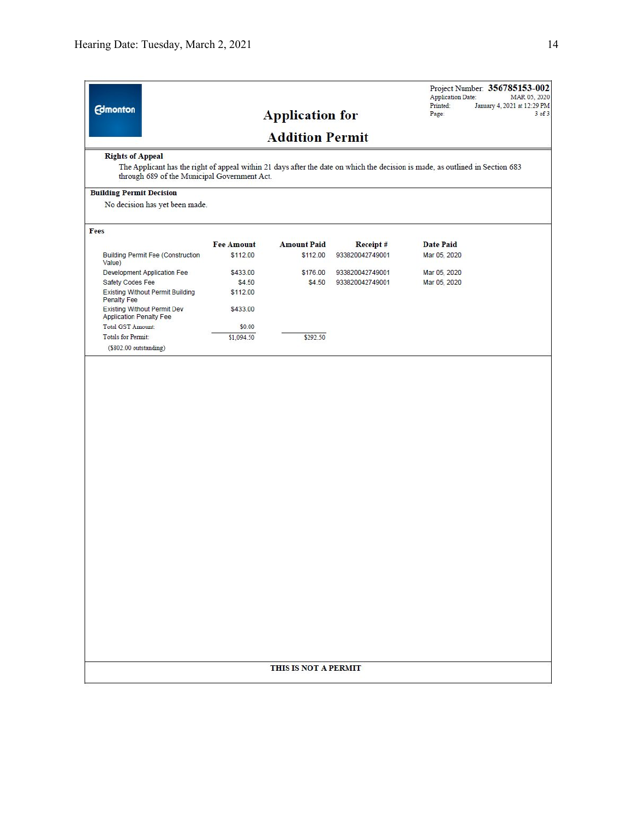| <b>Edmonton</b>                                                                                                                                                                                          |                    | <b>Application for</b> |                                    | Project Number: 356785153-002<br><b>Application Date:</b><br>MAR 05, 2020<br>Printed:<br>January 4, 2021 at 12:29 PM<br>Page:<br>$3$ of $3$ |  |  |  |  |  |  |
|----------------------------------------------------------------------------------------------------------------------------------------------------------------------------------------------------------|--------------------|------------------------|------------------------------------|---------------------------------------------------------------------------------------------------------------------------------------------|--|--|--|--|--|--|
| <b>Addition Permit</b>                                                                                                                                                                                   |                    |                        |                                    |                                                                                                                                             |  |  |  |  |  |  |
| <b>Rights of Appeal</b><br>The Applicant has the right of appeal within 21 days after the date on which the decision is made, as outlined in Section 683<br>through 689 of the Municipal Government Act. |                    |                        |                                    |                                                                                                                                             |  |  |  |  |  |  |
| <b>Building Permit Decision</b>                                                                                                                                                                          |                    |                        |                                    |                                                                                                                                             |  |  |  |  |  |  |
| No decision has yet been made.                                                                                                                                                                           |                    |                        |                                    |                                                                                                                                             |  |  |  |  |  |  |
| Fees                                                                                                                                                                                                     |                    |                        |                                    |                                                                                                                                             |  |  |  |  |  |  |
|                                                                                                                                                                                                          | <b>Fee Amount</b>  | <b>Amount Paid</b>     | Receipt#                           | <b>Date Paid</b>                                                                                                                            |  |  |  |  |  |  |
| <b>Building Permit Fee (Construction</b><br>Value)                                                                                                                                                       | \$112.00           | \$112.00               | 933820042749001                    | Mar 05, 2020                                                                                                                                |  |  |  |  |  |  |
| Development Application Fee                                                                                                                                                                              | \$433.00           | \$176.00               | 933820042749001<br>933820042749001 | Mar 05, 2020                                                                                                                                |  |  |  |  |  |  |
| Safety Codes Fee<br><b>Existing Without Permit Building</b><br><b>Penalty Fee</b>                                                                                                                        | \$4.50<br>\$112.00 | \$4.50                 |                                    | Mar 05, 2020                                                                                                                                |  |  |  |  |  |  |
| <b>Existing Without Permit Dev</b><br><b>Application Penalty Fee</b>                                                                                                                                     | \$433.00           |                        |                                    |                                                                                                                                             |  |  |  |  |  |  |
| Total GST Amount:                                                                                                                                                                                        | \$0.00             |                        |                                    |                                                                                                                                             |  |  |  |  |  |  |
| <b>Totals for Permit:</b>                                                                                                                                                                                | \$1,094.50         | \$292.50               |                                    |                                                                                                                                             |  |  |  |  |  |  |
|                                                                                                                                                                                                          |                    |                        |                                    |                                                                                                                                             |  |  |  |  |  |  |
|                                                                                                                                                                                                          |                    | THIS IS NOT A PERMIT   |                                    |                                                                                                                                             |  |  |  |  |  |  |
|                                                                                                                                                                                                          |                    |                        |                                    |                                                                                                                                             |  |  |  |  |  |  |